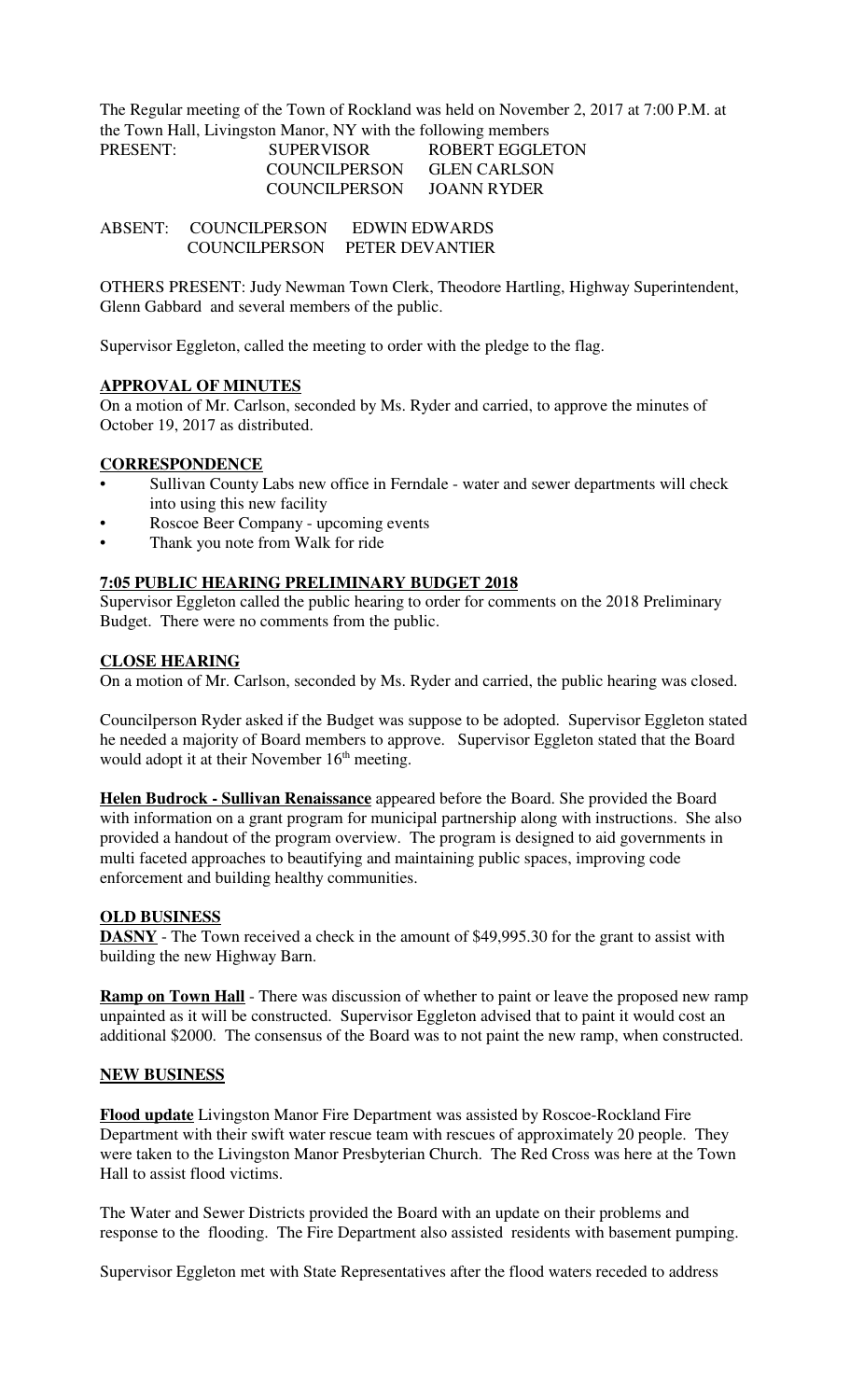The Regular meeting of the Town of Rockland was held on November 2, 2017 at 7:00 P.M. at the Town Hall, Livingston Manor, NY with the following members

| PRESENT: | <b>SUPERVISOR</b> | ROBERT EGGLETON     |
|----------|-------------------|---------------------|
|          | COUNCILPERSON     | <b>GLEN CARLSON</b> |
|          | COUNCIL PERSON    | JOANN RYDER         |

ABSENT: COUNCILPERSON EDWIN EDWARDS COUNCILPERSON PETER DEVANTIER

OTHERS PRESENT: Judy Newman Town Clerk, Theodore Hartling, Highway Superintendent, Glenn Gabbard and several members of the public.

Supervisor Eggleton, called the meeting to order with the pledge to the flag.

### **APPROVAL OF MINUTES**

On a motion of Mr. Carlson, seconded by Ms. Ryder and carried, to approve the minutes of October 19, 2017 as distributed.

### **CORRESPONDENCE**

- Sullivan County Labs new office in Ferndale water and sewer departments will check into using this new facility
- Roscoe Beer Company upcoming events
- Thank you note from Walk for ride

#### **7:05 PUBLIC HEARING PRELIMINARY BUDGET 2018**

Supervisor Eggleton called the public hearing to order for comments on the 2018 Preliminary Budget. There were no comments from the public.

#### **CLOSE HEARING**

On a motion of Mr. Carlson, seconded by Ms. Ryder and carried, the public hearing was closed.

Councilperson Ryder asked if the Budget was suppose to be adopted. Supervisor Eggleton stated he needed a majority of Board members to approve. Supervisor Eggleton stated that the Board would adopt it at their November 16<sup>th</sup> meeting.

**Helen Budrock - Sullivan Renaissance** appeared before the Board. She provided the Board with information on a grant program for municipal partnership along with instructions. She also provided a handout of the program overview. The program is designed to aid governments in multi faceted approaches to beautifying and maintaining public spaces, improving code enforcement and building healthy communities.

### **OLD BUSINESS**

**DASNY** - The Town received a check in the amount of \$49,995.30 for the grant to assist with building the new Highway Barn.

**Ramp on Town Hall** - There was discussion of whether to paint or leave the proposed new ramp unpainted as it will be constructed. Supervisor Eggleton advised that to paint it would cost an additional \$2000. The consensus of the Board was to not paint the new ramp, when constructed.

### **NEW BUSINESS**

**Flood update** Livingston Manor Fire Department was assisted by Roscoe-Rockland Fire Department with their swift water rescue team with rescues of approximately 20 people. They were taken to the Livingston Manor Presbyterian Church. The Red Cross was here at the Town Hall to assist flood victims.

The Water and Sewer Districts provided the Board with an update on their problems and response to the flooding. The Fire Department also assisted residents with basement pumping.

Supervisor Eggleton met with State Representatives after the flood waters receded to address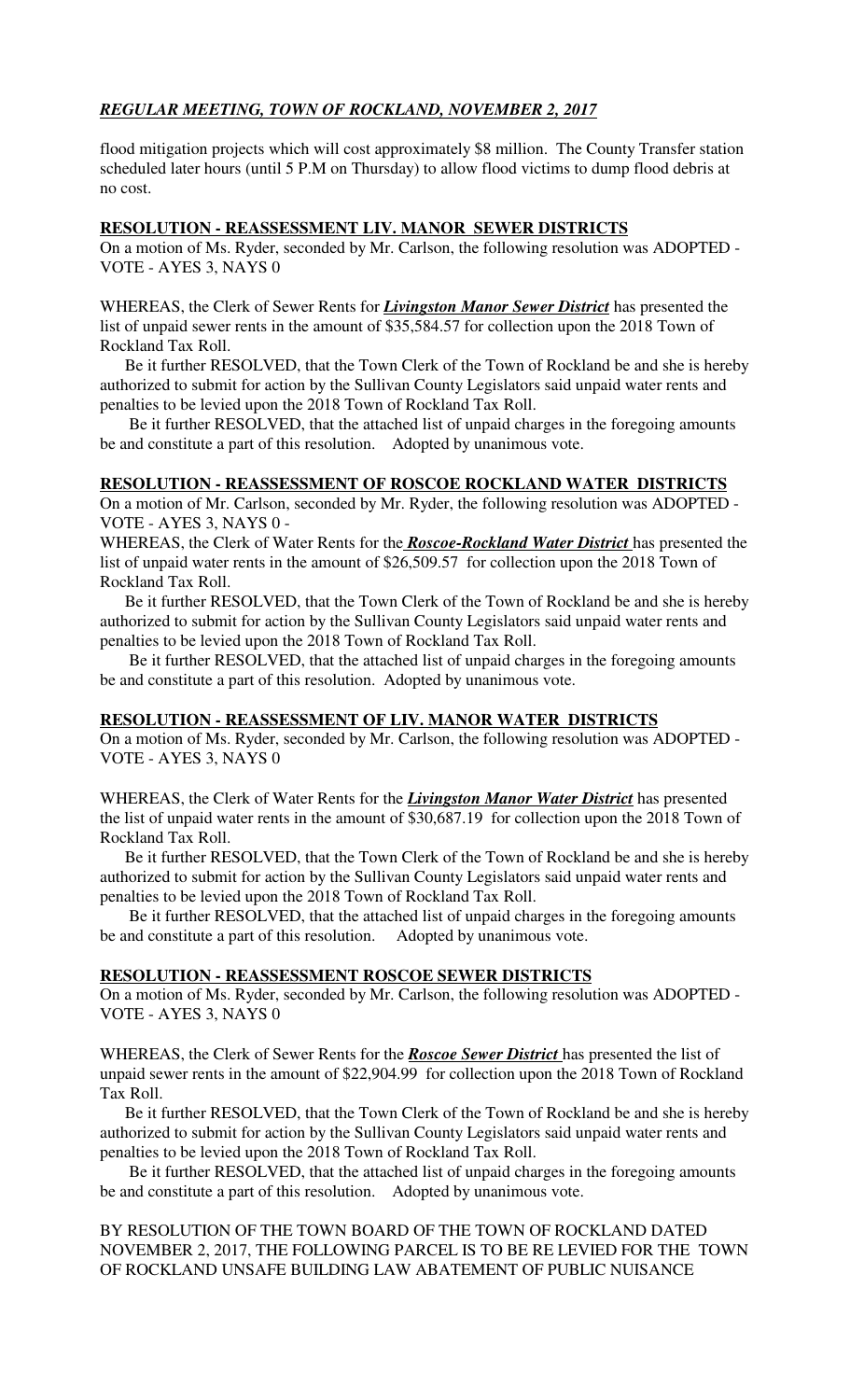# *REGULAR MEETING, TOWN OF ROCKLAND, NOVEMBER 2, 2017*

flood mitigation projects which will cost approximately \$8 million. The County Transfer station scheduled later hours (until 5 P.M on Thursday) to allow flood victims to dump flood debris at no cost.

### **RESOLUTION - REASSESSMENT LIV. MANOR SEWER DISTRICTS**

On a motion of Ms. Ryder, seconded by Mr. Carlson, the following resolution was ADOPTED - VOTE - AYES 3, NAYS 0

WHEREAS, the Clerk of Sewer Rents for *Livingston Manor Sewer District* has presented the list of unpaid sewer rents in the amount of \$35,584.57 for collection upon the 2018 Town of Rockland Tax Roll.

 Be it further RESOLVED, that the Town Clerk of the Town of Rockland be and she is hereby authorized to submit for action by the Sullivan County Legislators said unpaid water rents and penalties to be levied upon the 2018 Town of Rockland Tax Roll.

 Be it further RESOLVED, that the attached list of unpaid charges in the foregoing amounts be and constitute a part of this resolution. Adopted by unanimous vote.

### **RESOLUTION - REASSESSMENT OF ROSCOE ROCKLAND WATER DISTRICTS**

On a motion of Mr. Carlson, seconded by Mr. Ryder, the following resolution was ADOPTED - VOTE - AYES 3, NAYS 0 -

WHEREAS, the Clerk of Water Rents for the *Roscoe-Rockland Water District* has presented the list of unpaid water rents in the amount of \$26,509.57 for collection upon the 2018 Town of Rockland Tax Roll.

 Be it further RESOLVED, that the Town Clerk of the Town of Rockland be and she is hereby authorized to submit for action by the Sullivan County Legislators said unpaid water rents and penalties to be levied upon the 2018 Town of Rockland Tax Roll.

 Be it further RESOLVED, that the attached list of unpaid charges in the foregoing amounts be and constitute a part of this resolution. Adopted by unanimous vote.

### **RESOLUTION - REASSESSMENT OF LIV. MANOR WATER DISTRICTS**

On a motion of Ms. Ryder, seconded by Mr. Carlson, the following resolution was ADOPTED - VOTE - AYES 3, NAYS 0

WHEREAS, the Clerk of Water Rents for the *Livingston Manor Water District* has presented the list of unpaid water rents in the amount of \$30,687.19 for collection upon the 2018 Town of Rockland Tax Roll.

 Be it further RESOLVED, that the Town Clerk of the Town of Rockland be and she is hereby authorized to submit for action by the Sullivan County Legislators said unpaid water rents and penalties to be levied upon the 2018 Town of Rockland Tax Roll.

 Be it further RESOLVED, that the attached list of unpaid charges in the foregoing amounts be and constitute a part of this resolution. Adopted by unanimous vote.

### **RESOLUTION - REASSESSMENT ROSCOE SEWER DISTRICTS**

On a motion of Ms. Ryder, seconded by Mr. Carlson, the following resolution was ADOPTED - VOTE - AYES 3, NAYS 0

WHEREAS, the Clerk of Sewer Rents for the *Roscoe Sewer District* has presented the list of unpaid sewer rents in the amount of \$22,904.99 for collection upon the 2018 Town of Rockland Tax Roll.

 Be it further RESOLVED, that the Town Clerk of the Town of Rockland be and she is hereby authorized to submit for action by the Sullivan County Legislators said unpaid water rents and penalties to be levied upon the 2018 Town of Rockland Tax Roll.

 Be it further RESOLVED, that the attached list of unpaid charges in the foregoing amounts be and constitute a part of this resolution. Adopted by unanimous vote.

BY RESOLUTION OF THE TOWN BOARD OF THE TOWN OF ROCKLAND DATED NOVEMBER 2, 2017, THE FOLLOWING PARCEL IS TO BE RE LEVIED FOR THE TOWN OF ROCKLAND UNSAFE BUILDING LAW ABATEMENT OF PUBLIC NUISANCE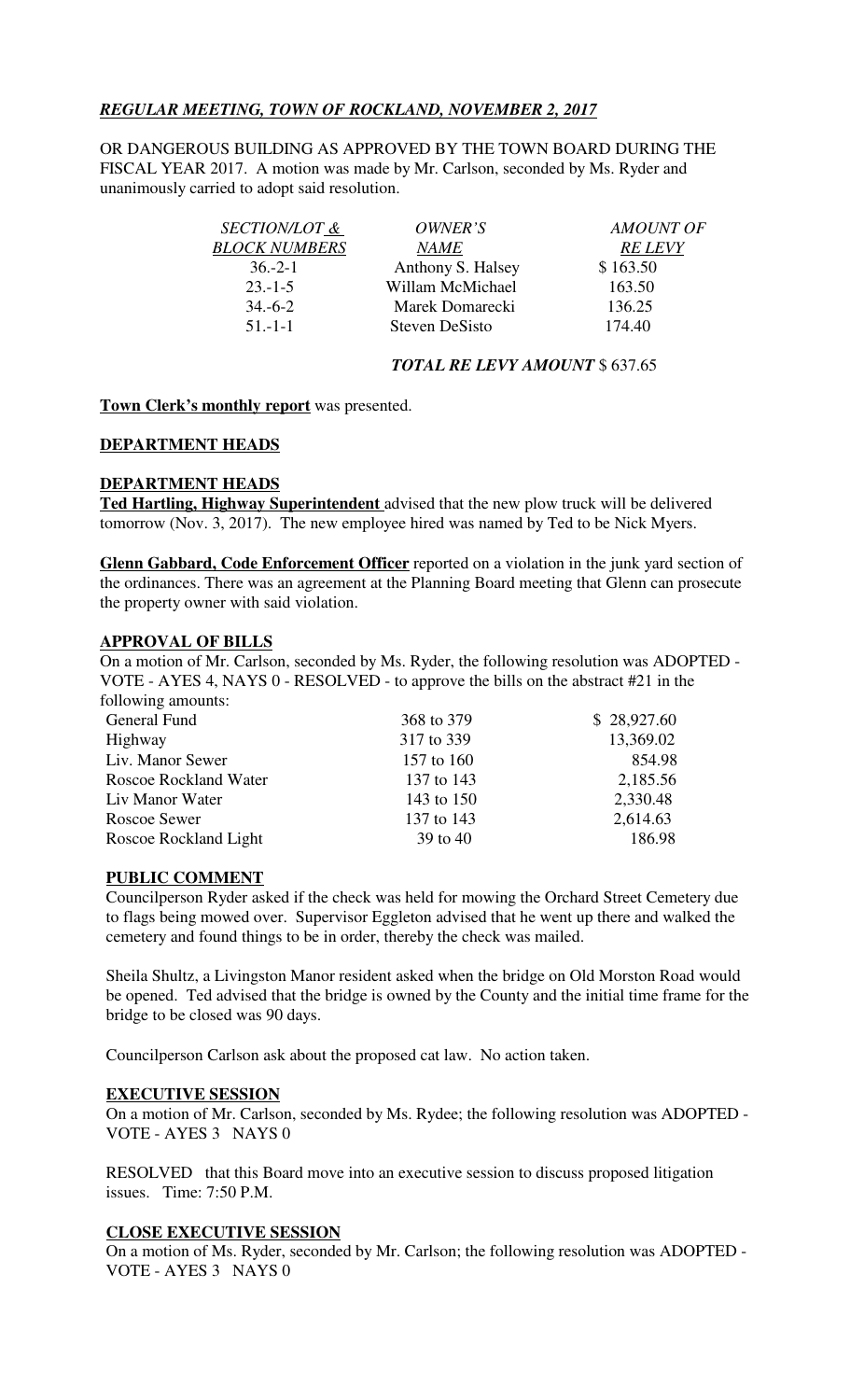# *REGULAR MEETING, TOWN OF ROCKLAND, NOVEMBER 2, 2017*

OR DANGEROUS BUILDING AS APPROVED BY THE TOWN BOARD DURING THE FISCAL YEAR 2017. A motion was made by Mr. Carlson, seconded by Ms. Ryder and unanimously carried to adopt said resolution.

| <i>SECTION/LOT &amp;</i> | OWNER'S               | <b>AMOUNT OF</b> |
|--------------------------|-----------------------|------------------|
| <b>BLOCK NUMBERS</b>     | <i>NAME</i>           | <b>RE LEVY</b>   |
| $36 - 2 - 1$             | Anthony S. Halsey     | \$163.50         |
| $23 - 1 - 5$             | Willam McMichael      | 163.50           |
| $34,-6-2$                | Marek Domarecki       | 136.25           |
| $51 - 1 - 1$             | <b>Steven DeSisto</b> | 174.40           |
|                          |                       |                  |

## *TOTAL RE LEVY AMOUNT* \$ 637.65

### **Town Clerk's monthly report** was presented.

### **DEPARTMENT HEADS**

## **DEPARTMENT HEADS**

**Ted Hartling, Highway Superintendent** advised that the new plow truck will be delivered tomorrow (Nov. 3, 2017). The new employee hired was named by Ted to be Nick Myers.

**Glenn Gabbard, Code Enforcement Officer** reported on a violation in the junk yard section of the ordinances. There was an agreement at the Planning Board meeting that Glenn can prosecute the property owner with said violation.

### **APPROVAL OF BILLS**

On a motion of Mr. Carlson, seconded by Ms. Ryder, the following resolution was ADOPTED - VOTE - AYES 4, NAYS 0 - RESOLVED - to approve the bills on the abstract #21 in the following amounts:

| General Fund                 | 368 to 379 | \$28,927.60 |
|------------------------------|------------|-------------|
| Highway                      | 317 to 339 | 13,369.02   |
| Liv. Manor Sewer             | 157 to 160 | 854.98      |
| <b>Roscoe Rockland Water</b> | 137 to 143 | 2,185.56    |
| Liv Manor Water              | 143 to 150 | 2,330.48    |
| Roscoe Sewer                 | 137 to 143 | 2,614.63    |
| Roscoe Rockland Light        | 39 to 40   | 186.98      |
|                              |            |             |

### **PUBLIC COMMENT**

Councilperson Ryder asked if the check was held for mowing the Orchard Street Cemetery due to flags being mowed over. Supervisor Eggleton advised that he went up there and walked the cemetery and found things to be in order, thereby the check was mailed.

Sheila Shultz, a Livingston Manor resident asked when the bridge on Old Morston Road would be opened. Ted advised that the bridge is owned by the County and the initial time frame for the bridge to be closed was 90 days.

Councilperson Carlson ask about the proposed cat law. No action taken.

### **EXECUTIVE SESSION**

On a motion of Mr. Carlson, seconded by Ms. Rydee; the following resolution was ADOPTED - VOTE - AYES 3 NAYS 0

RESOLVED that this Board move into an executive session to discuss proposed litigation issues. Time: 7:50 P.M.

## **CLOSE EXECUTIVE SESSION**

On a motion of Ms. Ryder, seconded by Mr. Carlson; the following resolution was ADOPTED - VOTE - AYES 3 NAYS 0